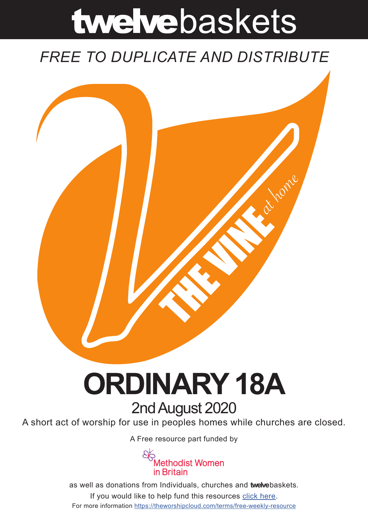# twelvebaskets

### *FREE TO DUPLICATE AND DISTRIBUTE*



## **ORDINARY 18A** 2nd August 2020

A short act of worship for use in peoples homes while churches are closed.

A [Free resource part funded](https://mwib.org.uk) by



as well as donations from Individuals, churches and **twelve**baskets. If you would like to help fund this resources [click here]( https://theworshipcloud.com/tags/donation). For more information<https://theworshipcloud.com/terms/free-weekly-resource>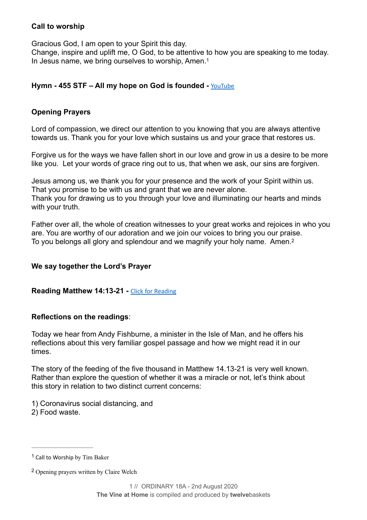#### **Call to worship**

Gracious God, I am open to your Spirit this day.

<span id="page-1-2"></span>Change, inspire and uplift me, O God, to be attentive to how you are speaking to me today. In Jesus name, we bring ourselves to worship, Amen.<sup>[1](#page-1-0)</sup>

#### **Hymn - 455 STF – All my hope on God is founded -** [YouTube](https://www.youtube.com/watch?v=RRw8uxyN1Rc)

#### **Opening Prayers**

Lord of compassion, we direct our attention to you knowing that you are always attentive towards us. Thank you for your love which sustains us and your grace that restores us.

Forgive us for the ways we have fallen short in our love and grow in us a desire to be more like you. Let your words of grace ring out to us, that when we ask, our sins are forgiven.

Jesus among us, we thank you for your presence and the work of your Spirit within us. That you promise to be with us and grant that we are never alone. Thank you for drawing us to you through your love and illuminating our hearts and minds with your truth.

<span id="page-1-3"></span>Father over all, the whole of creation witnesses to your great works and rejoices in who you are. You are worthy of our adoration and we join our voices to bring you our praise. To you belongs all glory and splendour and we magnify your holy name. Amen.[2](#page-1-1)

#### **We say together the Lord's Prayer**

#### **Reading Matthew 14:13-21 -** [Click for Reading](https://www.biblegateway.com/passage/?search=Matthew+14:13-21&version=NRSV)

#### **Reflections on the readings**:

Today we hear from Andy Fishburne, a minister in the Isle of Man, and he offers his reflections about this very familiar gospel passage and how we might read it in our times.

The story of the feeding of the five thousand in Matthew 14.13-21 is very well known. Rather than explore the question of whether it was a miracle or not, let's think about this story in relation to two distinct current concerns:

- 1) Coronavirus social distancing, and
- 2) Food waste.

<span id="page-1-0"></span> $1$  Call to Worship by Tim Baker

<span id="page-1-1"></span>Opening prayers written by Claire Welch [2](#page-1-3)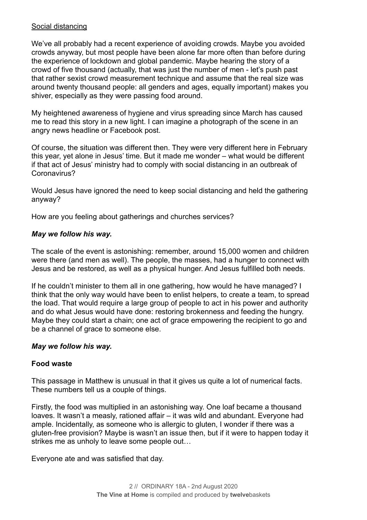#### Social distancing

We've all probably had a recent experience of avoiding crowds. Maybe you avoided crowds anyway, but most people have been alone far more often than before during the experience of lockdown and global pandemic. Maybe hearing the story of a crowd of five thousand (actually, that was just the number of men - let's push past that rather sexist crowd measurement technique and assume that the real size was around twenty thousand people: all genders and ages, equally important) makes you shiver, especially as they were passing food around.

My heightened awareness of hygiene and virus spreading since March has caused me to read this story in a new light. I can imagine a photograph of the scene in an angry news headline or Facebook post.

Of course, the situation was different then. They were very different here in February this year, yet alone in Jesus' time. But it made me wonder – what would be different if that act of Jesus' ministry had to comply with social distancing in an outbreak of Coronavirus?

Would Jesus have ignored the need to keep social distancing and held the gathering anyway?

How are you feeling about gatherings and churches services?

#### *May we follow his way.*

The scale of the event is astonishing: remember, around 15,000 women and children were there (and men as well). The people, the masses, had a hunger to connect with Jesus and be restored, as well as a physical hunger. And Jesus fulfilled both needs.

If he couldn't minister to them all in one gathering, how would he have managed? I think that the only way would have been to enlist helpers, to create a team, to spread the load. That would require a large group of people to act in his power and authority and do what Jesus would have done: restoring brokenness and feeding the hungry. Maybe they could start a chain; one act of grace empowering the recipient to go and be a channel of grace to someone else.

#### *May we follow his way.*

#### **Food waste**

This passage in Matthew is unusual in that it gives us quite a lot of numerical facts. These numbers tell us a couple of things.

Firstly, the food was multiplied in an astonishing way. One loaf became a thousand loaves. It wasn't a measly, rationed affair – it was wild and abundant. Everyone had ample. Incidentally, as someone who is allergic to gluten, I wonder if there was a gluten-free provision? Maybe is wasn't an issue then, but if it were to happen today it strikes me as unholy to leave some people out…

Everyone ate and was satisfied that day.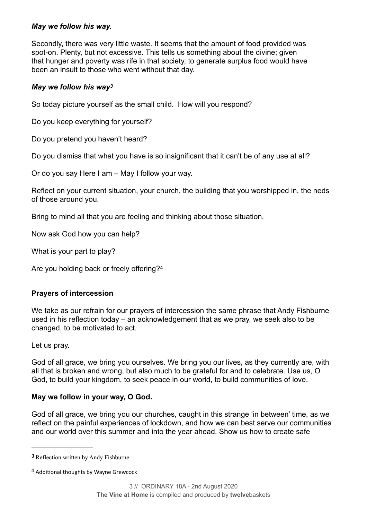#### *May we follow his way.*

Secondly, there was very little waste. It seems that the amount of food provided was spot-on. Plenty, but not excessive. This tells us something about the divine; given that hunger and poverty was rife in that society, to generate surplus food would have been an insult to those who went without that day.

#### <span id="page-3-2"></span>*May we follow his wa[y3](#page-3-0)*

So today picture yourself as the small child. How will you respond?

Do you keep everything for yourself?

Do you pretend you haven't heard?

Do you dismiss that what you have is so insignificant that it can't be of any use at all?

Or do you say Here I am – May I follow your way.

Reflect on your current situation, your church, the building that you worshipped in, the neds of those around you.

Bring to mind all that you are feeling and thinking about those situation.

Now ask God how you can help?

What is your part to play?

<span id="page-3-3"></span>Are you holding back or freely offering?[4](#page-3-1)

#### **Prayers of intercession**

We take as our refrain for our prayers of intercession the same phrase that Andy Fishburne used in his reflection today – an acknowledgement that as we pray, we seek also to be changed, to be motivated to act.

Let us pray.

God of all grace, we bring you ourselves. We bring you our lives, as they currently are, with all that is broken and wrong, but also much to be grateful for and to celebrate. Use us, O God, to build your kingdom, to seek peace in our world, to build communities of love.

#### **May we follow in your way, O God.**

God of all grace, we bring you our churches, caught in this strange 'in between' time, as we reflect on the painful experiences of lockdown, and how we can best serve our communities and our world over this summer and into the year ahead. Show us how to create safe

<span id="page-3-0"></span>Reflection written by Andy Fishburne *[3](#page-3-2)*

<span id="page-3-1"></span><sup>&</sup>lt;sup>[4](#page-3-3)</sup> Additional thoughts by Wayne Grewcock